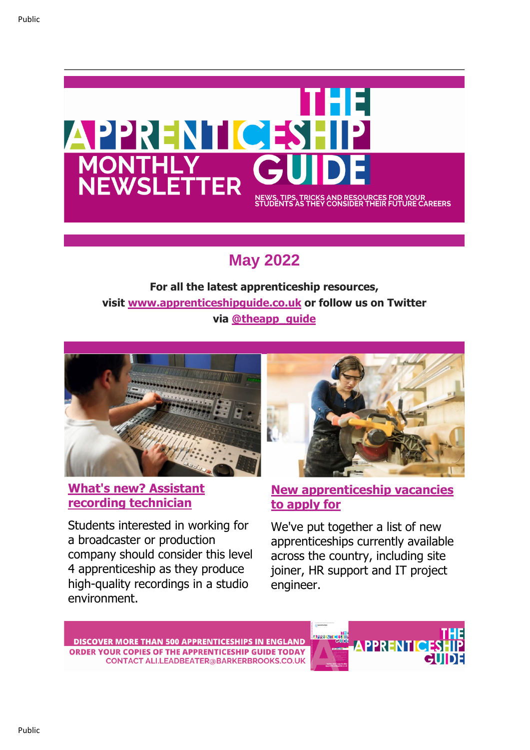

# **May 2022**

**For all the latest apprenticeship resources, visit [www.apprenticeshipguide.co.uk](https://bbm-news.net/FOB-7V6GS-7QNWY9-4STWY6-1/c.aspx) or follow us on Twitter via [@theapp\\_guide](https://bbm-news.net/FOB-7V6GS-7QNWY9-4STWY7-1/c.aspx)**



## **[What's new? Assistant](https://bbm-news.net/FOB-7V6GS-7QNWY9-4SU578-1/c.aspx)  [recording technician](https://bbm-news.net/FOB-7V6GS-7QNWY9-4SU578-1/c.aspx)**

Students interested in working for a broadcaster or production company should consider this level 4 apprenticeship as they produce high-quality recordings in a studio environment.



## **[New apprenticeship vacancies](https://bbm-news.net/FOB-7V6GS-7QNWY9-4SV1DV-1/c.aspx)  [to apply for](https://bbm-news.net/FOB-7V6GS-7QNWY9-4SV1DV-1/c.aspx)**

We've put together a list of new apprenticeships currently available across the country, including site joiner, HR support and IT project engineer.

**DISCOVER MORE THAN 500 APPRENTICESHIPS IN ENGLAND ORDER YOUR COPIES OF THE APPRENTICESHIP GUIDE TODAY CONTACT ALI.LEADBEATER@BARKERBROOKS.CO.UK** 

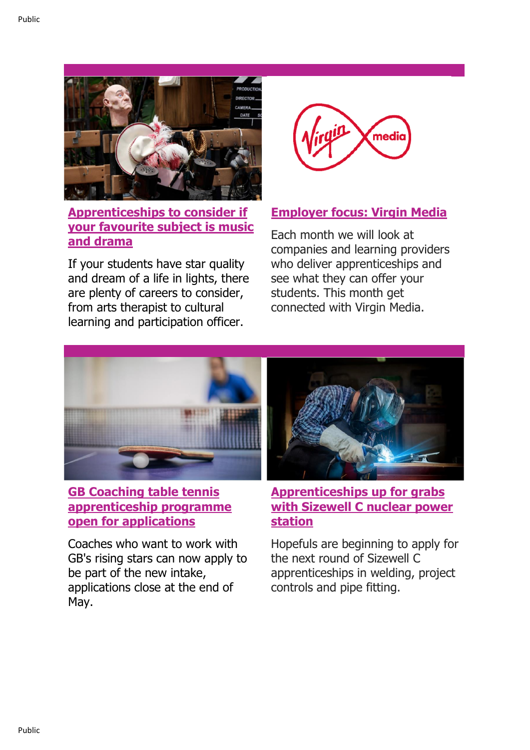

**[Apprenticeships to consider if](https://bbm-news.net/FOB-7V6GS-7QNWY9-4SU579-1/c.aspx)  [your favourite subject is music](https://bbm-news.net/FOB-7V6GS-7QNWY9-4SU579-1/c.aspx)  [and drama](https://bbm-news.net/FOB-7V6GS-7QNWY9-4SU579-1/c.aspx)**

If your students have star quality and dream of a life in lights, there are plenty of careers to consider, from arts therapist to cultural learning and participation officer.



## **[Employer focus: Virgin Media](https://bbm-news.net/FOB-7V6GS-7QNWY9-4SU57A-1/c.aspx)**

Each month we will look at companies and learning providers who deliver apprenticeships and see what they can offer your students. This month get connected with Virgin Media.



# **[GB Coaching table tennis](https://bbm-news.net/FOB-7V6GS-7QNWY9-4SU57B-1/c.aspx)  [apprenticeship programme](https://bbm-news.net/FOB-7V6GS-7QNWY9-4SU57B-1/c.aspx)  [open for applications](https://bbm-news.net/FOB-7V6GS-7QNWY9-4SU57B-1/c.aspx)**

Coaches who want to work with GB's rising stars can now apply to be part of the new intake, applications close at the end of May.



**[Apprenticeships up for grabs](https://bbm-news.net/FOB-7V6GS-7QNWY9-4SU57C-1/c.aspx)  [with Sizewell C nuclear power](https://bbm-news.net/FOB-7V6GS-7QNWY9-4SU57C-1/c.aspx)  [station](https://bbm-news.net/FOB-7V6GS-7QNWY9-4SU57C-1/c.aspx)**

Hopefuls are beginning to apply for the next round of Sizewell C apprenticeships in welding, project controls and pipe fitting.